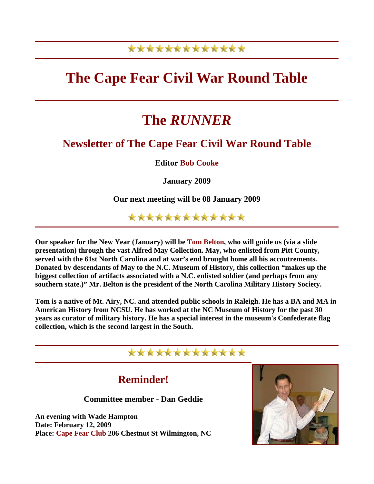# \*\*\*\*\*\*\*\*\*\*\*\*\*

# **The Cape Fear Civil War Round Table**

# **The** *RUNNER*

### **Newsletter of The Cape Fear Civil War Round Table**

**Editor Bob Cooke**

**January 2009** 

**Our next meeting will be 08 January 2009** 

\*\*\*\*\*\*\*\*\*\*\*\*\*

**Our speaker for the New Year (January) will be Tom Belton, who will guide us (via a slide presentation) through the vast Alfred May Collection. May, who enlisted from Pitt County, served with the 61st North Carolina and at war's end brought home all his accoutrements. Donated by descendants of May to the N.C. Museum of History, this collection "makes up the biggest collection of artifacts associated with a N.C. enlisted soldier (and perhaps from any southern state.)" Mr. Belton is the president of the North Carolina Military History Society.** 

**Tom is a native of Mt. Airy, NC. and attended public schools in Raleigh. He has a BA and MA in American History from NCSU. He has worked at the NC Museum of History for the past 30 years as curator of military history. He has a special interest in the museum's Confederate flag collection, which is the second largest in the South.** 

#### \*\*\*\*\*\*\*\*\*\*\*\*\*

### **Reminder!**

**Committee member - Dan Geddie** 

**An evening with Wade Hampton Date: February 12, 2009 Place: Cape Fear Club 206 Chestnut St Wilmington, NC** 

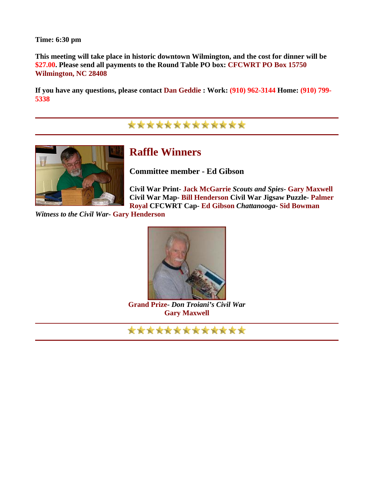**Time: 6:30 pm** 

**This meeting will take place in historic downtown Wilmington, and the cost for dinner will be \$27.00. Please send all payments to the Round Table PO box: CFCWRT PO Box 15750 Wilmington, NC 28408** 

**If you have any questions, please contact Dan Geddie : Work: (910) 962-3144 Home: (910) 799- 5338** 

\*\*\*\*\*\*\*\*\*\*\*\*\*



# **Raffle Winners**

**Committee member - Ed Gibson** 

**Civil War Print- Jack McGarrie** *Scouts and Spies***- Gary Maxwell Civil War Map- Bill Henderson Civil War Jigsaw Puzzle- Palmer Royal CFCWRT Cap- Ed Gibson** *Chattanooga***- Sid Bowman**

*Witness to the Civil War***- Gary Henderson** 



**Grand Prize-** *Don Troiani's Civil War* **Gary Maxwell** 

\*\*\*\*\*\*\*\*\*\*\*\*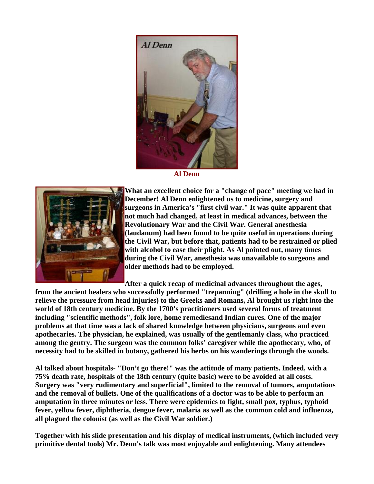

**Al Denn**



**What an excellent choice for a "change of pace" meeting we had in December! Al Denn enlightened us to medicine, surgery and surgeons in America's "first civil war." It was quite apparent that not much had changed, at least in medical advances, between the Revolutionary War and the Civil War. General anesthesia (laudanum) had been found to be quite useful in operations during the Civil War, but before that, patients had to be restrained or plied with alcohol to ease their plight. As Al pointed out, many times during the Civil War, anesthesia was unavailable to surgeons and older methods had to be employed.** 

**After a quick recap of medicinal advances throughout the ages,** 

**from the ancient healers who successfully performed "trepanning" (drilling a hole in the skull to relieve the pressure from head injuries) to the Greeks and Romans, Al brought us right into the world of 18th century medicine. By the 1700's practitioners used several forms of treatment including "scientific methods", folk lore, home remediesand Indian cures. One of the major problems at that time was a lack of shared knowledge between physicians, surgeons and even apothecaries. The physician, he explained, was usually of the gentlemanly class, who practiced among the gentry. The surgeon was the common folks' caregiver while the apothecary, who, of necessity had to be skilled in botany, gathered his herbs on his wanderings through the woods.** 

**Al talked about hospitals- "Don't go there!" was the attitude of many patients. Indeed, with a 75% death rate, hospitals of the 18th century (quite basic) were to be avoided at all costs. Surgery was "very rudimentary and superficial", limited to the removal of tumors, amputations and the removal of bullets. One of the qualifications of a doctor was to be able to perform an amputation in three minutes or less. There were epidemics to fight, small pox, typhus, typhoid fever, yellow fever, diphtheria, dengue fever, malaria as well as the common cold and influenza, all plagued the colonist (as well as the Civil War soldier.)** 

**Together with his slide presentation and his display of medical instruments, (which included very primitive dental tools) Mr. Denn's talk was most enjoyable and enlightening. Many attendees**